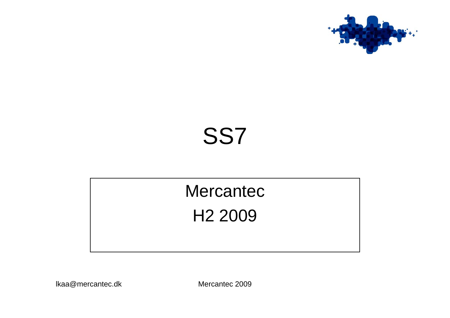

#### SS7

#### Mercantec H2 2009

lkaa@mercantec.dk Mercantec 2009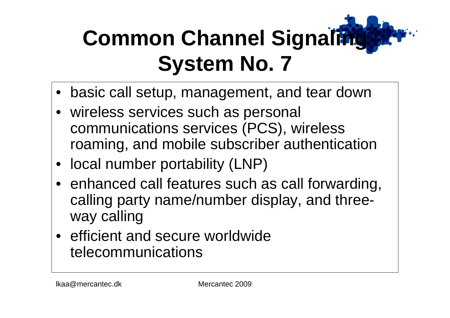- basic call setup, management, and tear down
- wireless services such as personal communications services (PCS), wireless roaming, and mobile subscriber authentication
- local number portability (LNP)
- enhanced call features such as call forwarding, calling party name/number display, and threeway calling
- efficient and secure worldwide telecommunications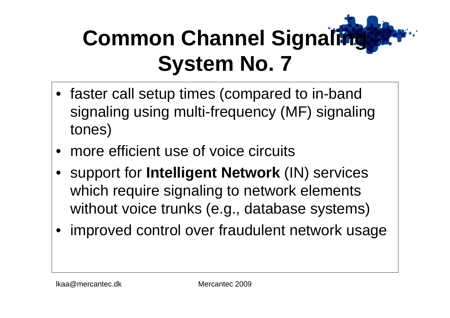- faster call setup times (compared to in-band signaling using multi-frequency (MF) signaling tones)
- •more efficient use of voice circuits
- •support for **Intelligent Network** (IN) services which require signaling to network elements without voice trunks (e.g., database systems)
- improved control over fraudulent network usage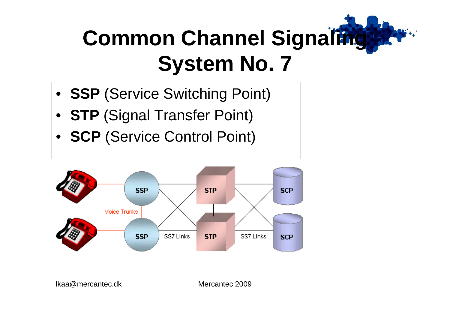- **SSP** (Service Switching Point)
- **STP** (Signal Transfer Point)
- **SCP** (Service Control Point)



lkaa@mercantec.dk Mercantec 2009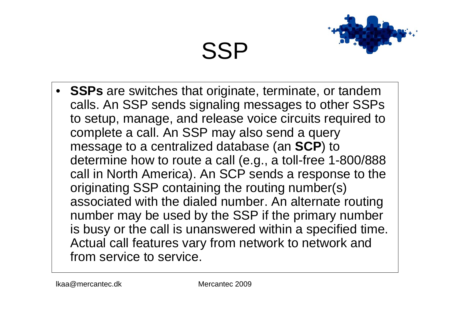# SSP

- 
- **SSPs** are switches that originate, terminate, or tandem calls. An SSP sends signaling messages to other SSPs to setup, manage, and release voice circuits required to complete a call. An SSP may also send a query message to a centralized database (an **SCP**) to determine how to route a call (e.g., a toll-free 1-800/888 call in North America). An SCP sends a response to the originating SSP containing the routing number(s) associated with the dialed number. An alternate routing number may be used by the SSP if the primary number is busy o r the call is unanswered within a specified time. Actual call features vary from network to network and from service to service.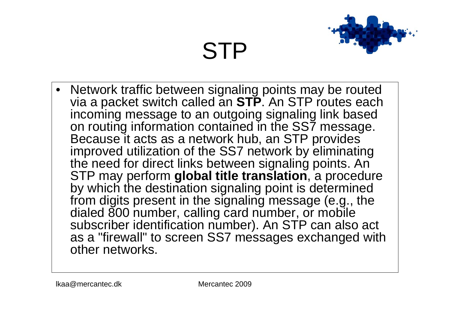# STP

- 
- Network traffic between signaling points may b e routed via a packet switch called an **STP**. An STP routes each incoming message to an outgoing signaling link based on routing information contained in the SS7 message. Because it acts as a network hub, an STP provides improved utilization of the SS7 network by eliminating the need for direct links between signaling points. An STP may perform **global title translation**, a procedure by which the destination signaling point is determined from digits present in the signaling message (e.g., the dialed 800 number, calling card number, or mobile subscriber identification number). An STP can also act as a "firewall" to screen SS7 messages exchanged with other networks.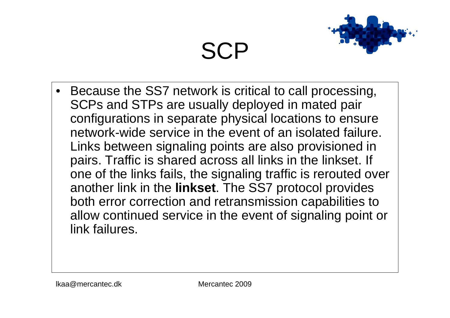### **SCP**

- 
- •Because the SS7 network is critical to call processing, SCPs and STPs are usually deployed in mated pair configurations in separate physical locations to ensure network-wide service in the event of an isolated failure. Links between signaling points are also provisioned in pairs. Traffic is shared across all links in the linkset. If one of the links fails, the signaling traffic is rerouted over another link in the **linkset**. The SS7 protocol provides both error correction and retransmission capabilities to allow continued service in the event of signaling point or link failures.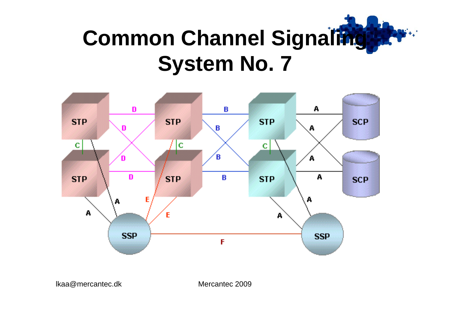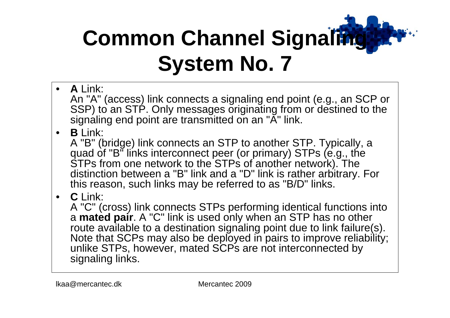- $\bullet$ **A** Link: An "A" (access) link connects a signaling end point (e.g., an SCP or SSP) to an STP. Only messages originating from or destined to the signaling end point are transmitted on an "A" link.
- •**B** Link:

A "B" (bridge) link connects an STP to another STP. Typic ally, a quad of "B" links interconnect peer (or primary) STPs (e.g., the STPs from one network to the STPs of another network). The distinc tion between <sup>a</sup>"B" link and a "D" link is rather arbitrary. For this reason, such links may be referred to as "B/D" links.

•**C** Link:

A "C" (cross) link connects STPs performing identical functions into a **mated pair**. A "C" link is used only when an STP has no other route available to a destination signaling point due to link failure(s). Note that SCPs may also be deployed in pairs to improve reliability; unlike STPs, howev er, mated SCPs are not interconnected by signaling links.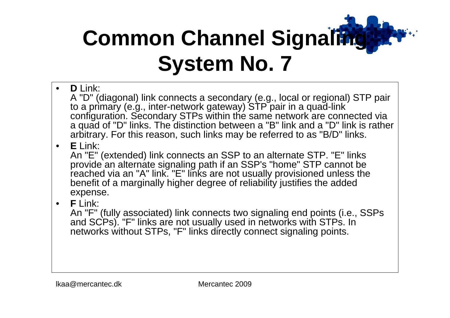- •**D** Link: A "D" (diagonal) link connects a secondary (e.g., local o r regional) STP pair to a primary (e.g., inter-network gateway) STP pair in a quad-link configuration. Secondary STPs within the same network are connected via a quad of "D" links. The distinction between a "B" link and a "D" link is rather arbitrary. For this reason, such links may b e referred to as "B/D" links.
- •**E** Link:

An "E" (extended) link connects an SSP to an alternate STP. "E" links provide an alternate signaling path if an SSP's "home" STP cannot be reached via an "A" link. "E" links are not usually provisioned unless the benefit of a marginally higher degree of reliability justifies the added expense.

•**F** Link:

An "F" (fully associated) link connects two signaling end points (i.e., SSPs and SCPs). "F" links are not usually used in networks with STPs. In networks without STPs, "F" links directly connect signaling points.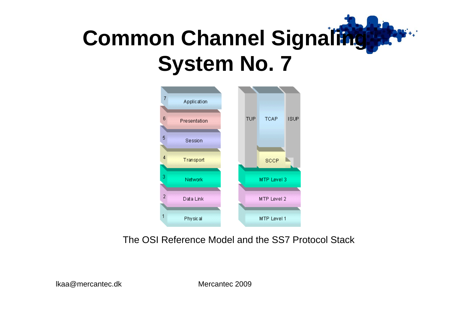

The OSI Reference Model and the SS7 Protocol Stack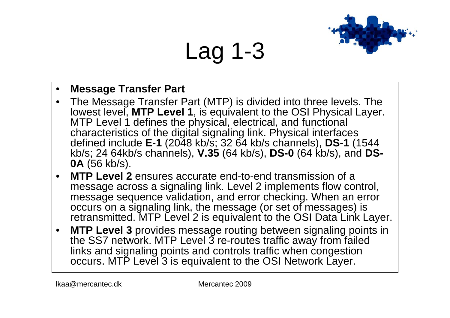# Lag 1-3



#### $\bullet$ **Message Transfer Part**

- The Message Transfer Part (MTP) is divided into three levels. The lowest level, **MTP Level 1**, is equivalent to the OSI Physical Layer. MTP Level 1 defines the physical, electrical, and functional characteristics of the digital signaling link. Physical inter faces defined include **E-1** (2048 kb/s; 32 64 kb/s channels), **DS-1** (1544 kb/s; 24 64kb/s channels), **V.35** (64 kb/s), **DS-0** (64 kb/s), and **DS-0A** (56 kb/s).
- • **MTP Level 2** ensures accurate end-to-end transmission of a message across a signaling link. Level 2 implements flow control, message sequence validation, and error checking. When an error occurs on a signaling link, the message (or set of messages) is retransmitted. MTP Level 2 is equivalent to the OSI Data Link Layer.
- •• MTP Level 3 provides message routing between signaling points in the SS7 network. MTP Level 3 re-routes traffic away from failed links and signaling points and controls traffic when congestion occurs. MTP Level 3 is equiv alent to the OSI Network Layer.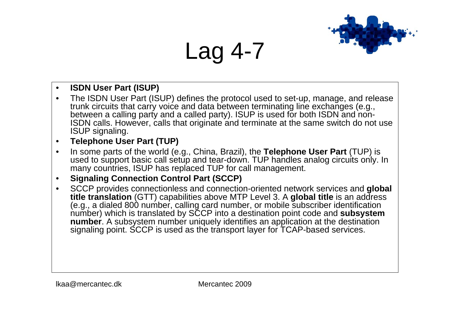#### Lag 4-7



•The ISDN User Part (ISUP) defines the protocol used to set-up, manage, and release trunk circuits that carry voice and data between ter minating line exchanges (e.g., between a calling party and a called party). ISUP is used for both ISDN and non-ISDN calls. However, calls that originate and terminate at the same switch do not use ISUP signaling.

#### •**Telephone User Part (TUP)**

•• In some parts of the world (e.g., China, Brazil), the Telephone User Part (TUP) is used to support basic call setup and tear-down. TUP handles analog circuits only. In many countries, ISUP has replaced TUP for call management.

#### •**Signaling Connection Control Part (SCCP)**

•SCCP provides connectionless and connection-oriented network services and **global title translation** (GTT) capabilities above MTP Level 3. A **global title** is an address (e.g., a dialed 800 number, calling card number, or mobile subscriber identification number) which is translated by SCCP into a destination point code and **subsystem number**. A subsystem number uniquely identifies an application at the destination signaling point. SCCP is used as the transport layer for T CAP-based services.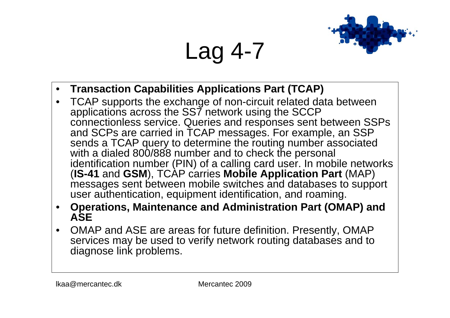Lag 4-7

- 
- •**Transaction Capabilitie s Applications Part (TCAP)**
- •TCAP supports the exchange of non-circuit related data between applic ations across the SS7 network using the SCCP connectionless service. Queries and responses sent between SSPs and SCPs are carried in TCAP messages. For example, an SSP sends a TCAP query to determine the routing number associated with a dialed 800/888 number and to check the personal identification number (PIN) o f a calling card user. In mobile networks (**IS-41** and **GSM**), TCAP carries **Mobile Application Part** (MAP) messages sent between mobile switches and databases to support user authentication, equipment identification, and roaming.
- • **Operations, Maintenance and Administration Part (OMAP) and ASE**
- •OMAP and ASE are areas for future definition. Presently, OMAP services may be used to verify network routing databases and to diagnose link problems.